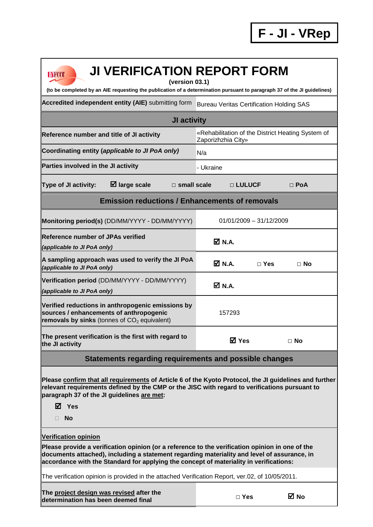| <b>JI VERIFICATION REPORT FORM</b><br><b>UNFCCC</b><br>(version 03.1)<br>(to be completed by an AIE requesting the publication of a determination pursuant to paragraph 37 of the JI guidelines)                                                                                                                        |                                                 |  |  |  |  |  |
|-------------------------------------------------------------------------------------------------------------------------------------------------------------------------------------------------------------------------------------------------------------------------------------------------------------------------|-------------------------------------------------|--|--|--|--|--|
| Accredited independent entity (AIE) submitting form                                                                                                                                                                                                                                                                     |                                                 |  |  |  |  |  |
| <b>Bureau Veritas Certification Holding SAS</b>                                                                                                                                                                                                                                                                         |                                                 |  |  |  |  |  |
| JI activity<br>«Rehabilitation of the District Heating System of<br>Reference number and title of JI activity                                                                                                                                                                                                           |                                                 |  |  |  |  |  |
|                                                                                                                                                                                                                                                                                                                         | Zaporizhzhia City»                              |  |  |  |  |  |
| Coordinating entity (applicable to JI PoA only)                                                                                                                                                                                                                                                                         | N/a                                             |  |  |  |  |  |
| Parties involved in the JI activity                                                                                                                                                                                                                                                                                     | - Ukraine                                       |  |  |  |  |  |
| $\boxtimes$ large scale<br>Type of JI activity:                                                                                                                                                                                                                                                                         | $\square$ small scale<br>□ LULUCF<br>$\Box$ PoA |  |  |  |  |  |
| <b>Emission reductions / Enhancements of removals</b>                                                                                                                                                                                                                                                                   |                                                 |  |  |  |  |  |
| Monitoring period(s) (DD/MM/YYYY - DD/MM/YYYY)                                                                                                                                                                                                                                                                          | $01/01/2009 - 31/12/2009$                       |  |  |  |  |  |
| <b>Reference number of JPAs verified</b><br>(applicable to JI PoA only)                                                                                                                                                                                                                                                 | $\overline{M}$ N.A.                             |  |  |  |  |  |
| A sampling approach was used to verify the JI PoA<br>(applicable to JI PoA only)                                                                                                                                                                                                                                        | $M$ N.A.<br>$\Box$ Yes<br>$\Box$ No             |  |  |  |  |  |
| Verification period (DD/MM/YYYY - DD/MM/YYYY)<br>(applicable to JI PoA only)                                                                                                                                                                                                                                            | ØN.A.                                           |  |  |  |  |  |
| Verified reductions in anthropogenic emissions by<br>sources / enhancements of anthropogenic<br>removals by sinks (tonnes of $CO2$ equivalent)                                                                                                                                                                          | 157293                                          |  |  |  |  |  |
| The present verification is the first with regard to<br>the JI activity                                                                                                                                                                                                                                                 | <b>⊠</b> Yes<br>$\Box$ No                       |  |  |  |  |  |
| Statements regarding requirements and possible changes                                                                                                                                                                                                                                                                  |                                                 |  |  |  |  |  |
| Please confirm that all requirements of Article 6 of the Kyoto Protocol, the JI guidelines and further<br>relevant requirements defined by the CMP or the JISC with regard to verifications pursuant to<br>paragraph 37 of the JI guidelines are met:<br>$\boxtimes$ Yes<br>No                                          |                                                 |  |  |  |  |  |
| <b>Verification opinion</b><br>Please provide a verification opinion (or a reference to the verification opinion in one of the<br>documents attached), including a statement regarding materiality and level of assurance, in<br>accordance with the Standard for applying the concept of materiality in verifications: |                                                 |  |  |  |  |  |
| The verification opinion is provided in the attached Verification Report, ver.02, of 10/05/2011.                                                                                                                                                                                                                        |                                                 |  |  |  |  |  |
| The project design was revised after the<br>determination has been deemed final                                                                                                                                                                                                                                         | ⊠ No<br>$\Box$ Yes                              |  |  |  |  |  |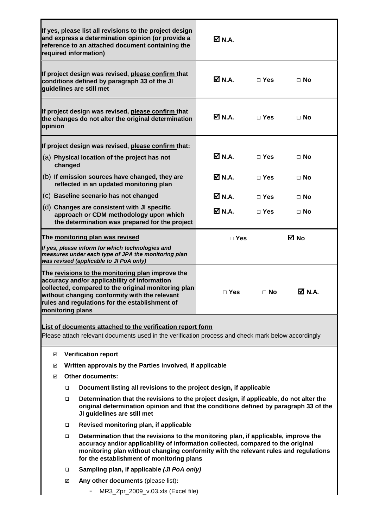|                                                                                                                                                                                                                                                                                                                       |                                                                          | If yes, please list all revisions to the project design<br>and express a determination opinion (or provide a<br>reference to an attached document containing the<br>required information)                       | $\boxtimes$ N.A.    |            |               |  |
|-----------------------------------------------------------------------------------------------------------------------------------------------------------------------------------------------------------------------------------------------------------------------------------------------------------------------|--------------------------------------------------------------------------|-----------------------------------------------------------------------------------------------------------------------------------------------------------------------------------------------------------------|---------------------|------------|---------------|--|
|                                                                                                                                                                                                                                                                                                                       |                                                                          | If project design was revised, please confirm that<br>conditions defined by paragraph 33 of the JI<br>quidelines are still met                                                                                  | M N.A.              | $\Box$ Yes | $\Box$ No     |  |
| opinion                                                                                                                                                                                                                                                                                                               |                                                                          | If project design was revised, please confirm that<br>the changes do not alter the original determination                                                                                                       | $\boxtimes$ N.A.    | $\Box$ Yes | ⊟ No          |  |
|                                                                                                                                                                                                                                                                                                                       |                                                                          | If project design was revised, please confirm that:                                                                                                                                                             |                     |            |               |  |
|                                                                                                                                                                                                                                                                                                                       | changed                                                                  | (a) Physical location of the project has not                                                                                                                                                                    | <b>☑</b> N.A.       | $\Box$ Yes | $\Box$ No     |  |
|                                                                                                                                                                                                                                                                                                                       |                                                                          | (b) If emission sources have changed, they are<br>reflected in an updated monitoring plan                                                                                                                       | <b>Ø</b> N.A.       | $\Box$ Yes | $\Box$ No     |  |
|                                                                                                                                                                                                                                                                                                                       |                                                                          | (c) Baseline scenario has not changed                                                                                                                                                                           | <b>Ø</b> N.A.       | $\Box$ Yes | $\Box$ No     |  |
|                                                                                                                                                                                                                                                                                                                       |                                                                          | (d) Changes are consistent with JI specific<br>approach or CDM methodology upon which<br>the determination was prepared for the project                                                                         | $\overline{M}$ N.A. | $\Box$ Yes | $\Box$ No     |  |
|                                                                                                                                                                                                                                                                                                                       |                                                                          | The monitoring plan was revised                                                                                                                                                                                 | $\Box$ Yes          |            | ⊠ No          |  |
| If yes, please inform for which technologies and<br>measures under each type of JPA the monitoring plan<br>was revised (applicable to JI PoA only)                                                                                                                                                                    |                                                                          |                                                                                                                                                                                                                 |                     |            |               |  |
| The revisions to the monitoring plan improve the<br>accuracy and/or applicability of information<br>collected, compared to the original monitoring plan<br>without changing conformity with the relevant<br>rules and regulations for the establishment of<br>monitoring plans                                        |                                                                          |                                                                                                                                                                                                                 | $\Box$ Yes          | $\Box$ No  | <b>☑</b> N.A. |  |
| List of documents attached to the verification report form                                                                                                                                                                                                                                                            |                                                                          |                                                                                                                                                                                                                 |                     |            |               |  |
| Please attach relevant documents used in the verification process and check mark below accordingly                                                                                                                                                                                                                    |                                                                          |                                                                                                                                                                                                                 |                     |            |               |  |
|                                                                                                                                                                                                                                                                                                                       |                                                                          |                                                                                                                                                                                                                 |                     |            |               |  |
| <b>Verification report</b><br>☑<br>Written approvals by the Parties involved, if applicable<br>☑                                                                                                                                                                                                                      |                                                                          |                                                                                                                                                                                                                 |                     |            |               |  |
|                                                                                                                                                                                                                                                                                                                       | ☑                                                                        | <b>Other documents:</b>                                                                                                                                                                                         |                     |            |               |  |
|                                                                                                                                                                                                                                                                                                                       | Document listing all revisions to the project design, if applicable<br>□ |                                                                                                                                                                                                                 |                     |            |               |  |
|                                                                                                                                                                                                                                                                                                                       | □                                                                        | Determination that the revisions to the project design, if applicable, do not alter the<br>original determination opinion and that the conditions defined by paragraph 33 of the<br>JI guidelines are still met |                     |            |               |  |
|                                                                                                                                                                                                                                                                                                                       | □                                                                        | Revised monitoring plan, if applicable                                                                                                                                                                          |                     |            |               |  |
| Determination that the revisions to the monitoring plan, if applicable, improve the<br>$\Box$<br>accuracy and/or applicability of information collected, compared to the original<br>monitoring plan without changing conformity with the relevant rules and regulations<br>for the establishment of monitoring plans |                                                                          |                                                                                                                                                                                                                 |                     |            |               |  |
|                                                                                                                                                                                                                                                                                                                       | Sampling plan, if applicable (JI PoA only)<br>❏                          |                                                                                                                                                                                                                 |                     |            |               |  |
|                                                                                                                                                                                                                                                                                                                       | ☑                                                                        | Any other documents (please list):                                                                                                                                                                              |                     |            |               |  |
|                                                                                                                                                                                                                                                                                                                       |                                                                          | MR3_Zpr_2009_v.03.xls (Excel file)                                                                                                                                                                              |                     |            |               |  |